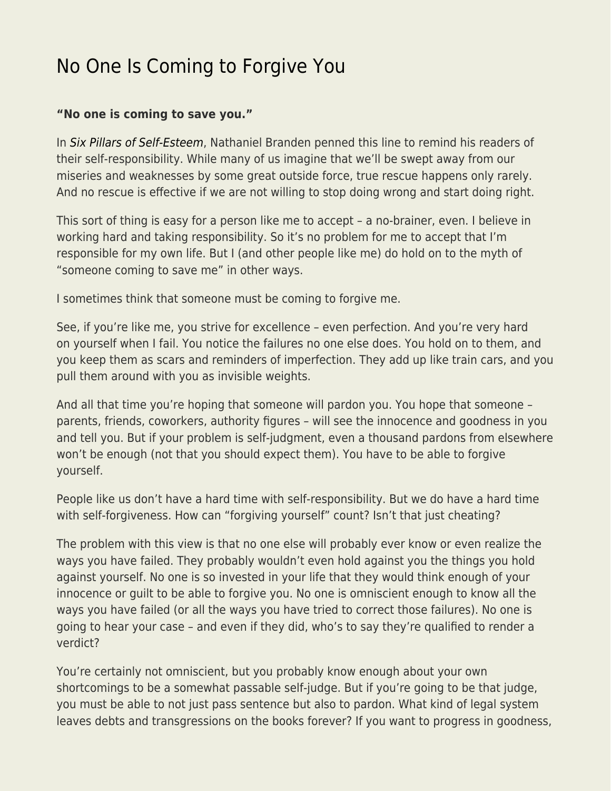## [No One Is Coming to Forgive You](https://everything-voluntary.com/no-one-is-coming-to-forgive-you)

## **"No one is coming to save you."**

In [Six Pillars of Self-Esteem](https://amzn.to/2KFyxPs), Nathaniel Branden penned this line to remind his readers of their self-responsibility. While many of us imagine that we'll be swept away from our miseries and weaknesses by some great outside force, true rescue happens only rarely. And no rescue is effective if we are not willing to stop doing wrong and start doing right.

This sort of thing is easy for a person like me to accept – a no-brainer, even. I believe in working hard and taking responsibility. So it's no problem for me to accept that I'm responsible for my own life. But I (and other people like me) do hold on to the myth of "someone coming to save me" in other ways.

I sometimes think that someone must be coming to forgive me.

See, if you're like me, you strive for excellence – even perfection. And you're very hard on yourself when I fail. You notice the failures no one else does. You hold on to them, and you keep them as scars and reminders of imperfection. They add up like train cars, and you pull them around with you as invisible weights.

And all that time you're hoping that someone will pardon you. You hope that someone – parents, friends, coworkers, authority figures – will see the innocence and goodness in you and tell you. But if your problem is self-judgment, even a thousand pardons from elsewhere won't be enough (not that you should expect them). You have to be able to forgive yourself.

People like us don't have a hard time with self-responsibility. But we do have a hard time with self-forgiveness. How can "forgiving yourself" count? Isn't that just cheating?

The problem with this view is that no one else will probably ever know or even realize the ways you have failed. They probably wouldn't even hold against you the things you hold against yourself. No one is so invested in your life that they would think enough of your innocence or guilt to be able to forgive you. No one is omniscient enough to know all the ways you have failed (or all the ways you have tried to correct those failures). No one is going to hear your case – and even if they did, who's to say they're qualified to render a verdict?

You're certainly not omniscient, but you probably know enough about your own shortcomings to be a somewhat passable self-judge. But if you're going to be that judge, you must be able to not just pass sentence but also to pardon. What kind of legal system leaves debts and transgressions on the books forever? If you want to progress in goodness,